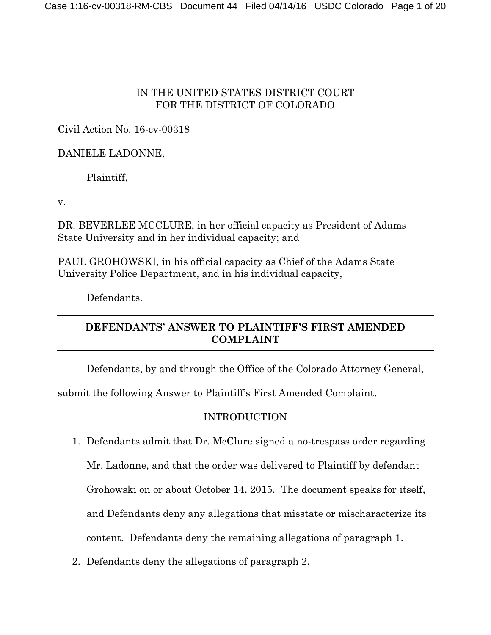## IN THE UNITED STATES DISTRICT COURT FOR THE DISTRICT OF COLORADO

# Civil Action No. 16-cv-00318

## DANIELE LADONNE,

Plaintiff,

v.

DR. BEVERLEE MCCLURE, in her official capacity as President of Adams State University and in her individual capacity; and

PAUL GROHOWSKI, in his official capacity as Chief of the Adams State University Police Department, and in his individual capacity,

Defendants.

# **DEFENDANTS' ANSWER TO PLAINTIFF'S FIRST AMENDED COMPLAINT**

Defendants, by and through the Office of the Colorado Attorney General,

submit the following Answer to Plaintiff's First Amended Complaint.

# INTRODUCTION

1. Defendants admit that Dr. McClure signed a no-trespass order regarding

Mr. Ladonne, and that the order was delivered to Plaintiff by defendant

Grohowski on or about October 14, 2015. The document speaks for itself,

and Defendants deny any allegations that misstate or mischaracterize its

content. Defendants deny the remaining allegations of paragraph 1.

2. Defendants deny the allegations of paragraph 2.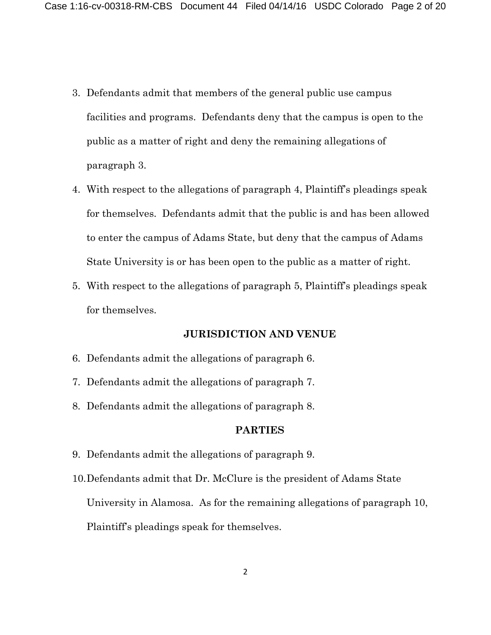- 3. Defendants admit that members of the general public use campus facilities and programs. Defendants deny that the campus is open to the public as a matter of right and deny the remaining allegations of paragraph 3.
- 4. With respect to the allegations of paragraph 4, Plaintiff's pleadings speak for themselves. Defendants admit that the public is and has been allowed to enter the campus of Adams State, but deny that the campus of Adams State University is or has been open to the public as a matter of right.
- 5. With respect to the allegations of paragraph 5, Plaintiff's pleadings speak for themselves.

### **JURISDICTION AND VENUE**

- 6. Defendants admit the allegations of paragraph 6.
- 7. Defendants admit the allegations of paragraph 7.
- 8. Defendants admit the allegations of paragraph 8.

#### **PARTIES**

- 9. Defendants admit the allegations of paragraph 9.
- 10.Defendants admit that Dr. McClure is the president of Adams State University in Alamosa. As for the remaining allegations of paragraph 10, Plaintiff's pleadings speak for themselves.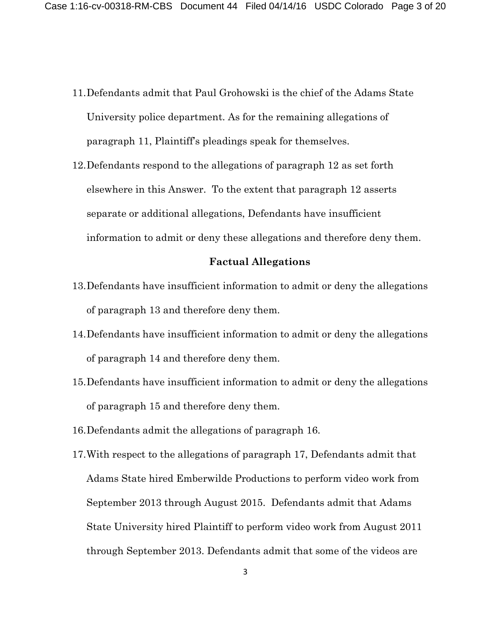- 11.Defendants admit that Paul Grohowski is the chief of the Adams State University police department. As for the remaining allegations of paragraph 11, Plaintiff's pleadings speak for themselves.
- 12.Defendants respond to the allegations of paragraph 12 as set forth elsewhere in this Answer. To the extent that paragraph 12 asserts separate or additional allegations, Defendants have insufficient information to admit or deny these allegations and therefore deny them.

#### **Factual Allegations**

- 13.Defendants have insufficient information to admit or deny the allegations of paragraph 13 and therefore deny them.
- 14.Defendants have insufficient information to admit or deny the allegations of paragraph 14 and therefore deny them.
- 15.Defendants have insufficient information to admit or deny the allegations of paragraph 15 and therefore deny them.
- 16.Defendants admit the allegations of paragraph 16.
- 17.With respect to the allegations of paragraph 17, Defendants admit that Adams State hired Emberwilde Productions to perform video work from September 2013 through August 2015. Defendants admit that Adams State University hired Plaintiff to perform video work from August 2011 through September 2013. Defendants admit that some of the videos are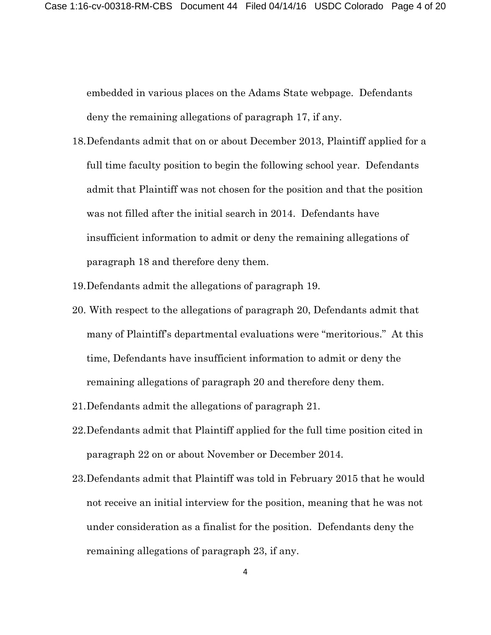embedded in various places on the Adams State webpage. Defendants deny the remaining allegations of paragraph 17, if any.

- 18.Defendants admit that on or about December 2013, Plaintiff applied for a full time faculty position to begin the following school year. Defendants admit that Plaintiff was not chosen for the position and that the position was not filled after the initial search in 2014. Defendants have insufficient information to admit or deny the remaining allegations of paragraph 18 and therefore deny them.
- 19.Defendants admit the allegations of paragraph 19.
- 20. With respect to the allegations of paragraph 20, Defendants admit that many of Plaintiff's departmental evaluations were "meritorious." At this time, Defendants have insufficient information to admit or deny the remaining allegations of paragraph 20 and therefore deny them.
- 21.Defendants admit the allegations of paragraph 21.
- 22.Defendants admit that Plaintiff applied for the full time position cited in paragraph 22 on or about November or December 2014.
- 23.Defendants admit that Plaintiff was told in February 2015 that he would not receive an initial interview for the position, meaning that he was not under consideration as a finalist for the position. Defendants deny the remaining allegations of paragraph 23, if any.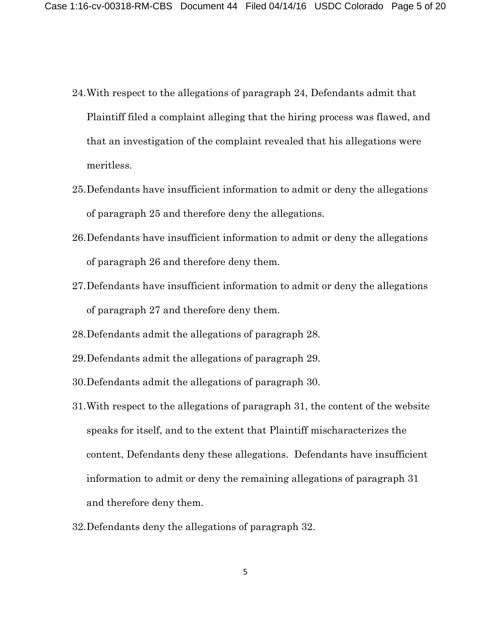- 24.With respect to the allegations of paragraph 24, Defendants admit that Plaintiff filed a complaint alleging that the hiring process was flawed, and that an investigation of the complaint revealed that his allegations were meritless.
- 25.Defendants have insufficient information to admit or deny the allegations of paragraph 25 and therefore deny the allegations.
- 26.Defendants have insufficient information to admit or deny the allegations of paragraph 26 and therefore deny them.
- 27.Defendants have insufficient information to admit or deny the allegations of paragraph 27 and therefore deny them.
- 28.Defendants admit the allegations of paragraph 28.
- 29.Defendants admit the allegations of paragraph 29.
- 30.Defendants admit the allegations of paragraph 30.
- 31.With respect to the allegations of paragraph 31, the content of the website speaks for itself, and to the extent that Plaintiff mischaracterizes the content, Defendants deny these allegations. Defendants have insufficient information to admit or deny the remaining allegations of paragraph 31 and therefore deny them.
- 32.Defendants deny the allegations of paragraph 32.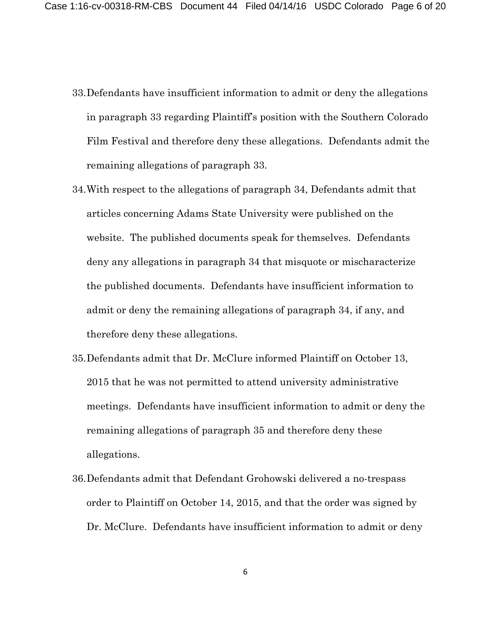- 33.Defendants have insufficient information to admit or deny the allegations in paragraph 33 regarding Plaintiff's position with the Southern Colorado Film Festival and therefore deny these allegations. Defendants admit the remaining allegations of paragraph 33.
- 34.With respect to the allegations of paragraph 34, Defendants admit that articles concerning Adams State University were published on the website. The published documents speak for themselves. Defendants deny any allegations in paragraph 34 that misquote or mischaracterize the published documents. Defendants have insufficient information to admit or deny the remaining allegations of paragraph 34, if any, and therefore deny these allegations.
- 35.Defendants admit that Dr. McClure informed Plaintiff on October 13, 2015 that he was not permitted to attend university administrative meetings. Defendants have insufficient information to admit or deny the remaining allegations of paragraph 35 and therefore deny these allegations.
- 36.Defendants admit that Defendant Grohowski delivered a no-trespass order to Plaintiff on October 14, 2015, and that the order was signed by Dr. McClure. Defendants have insufficient information to admit or deny

6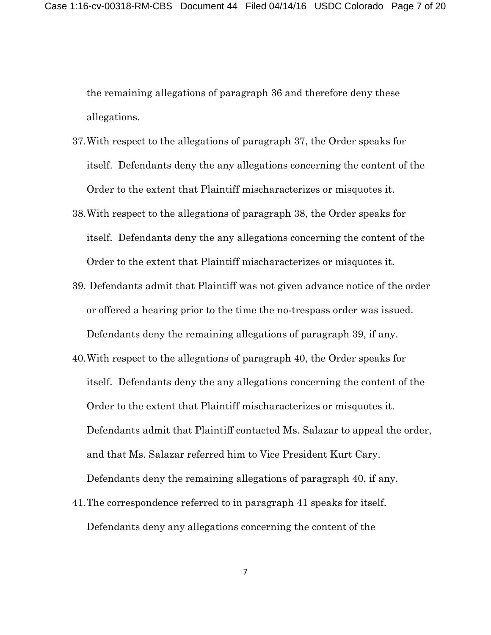the remaining allegations of paragraph 36 and therefore deny these allegations.

- 37.With respect to the allegations of paragraph 37, the Order speaks for itself. Defendants deny the any allegations concerning the content of the Order to the extent that Plaintiff mischaracterizes or misquotes it.
- 38.With respect to the allegations of paragraph 38, the Order speaks for itself. Defendants deny the any allegations concerning the content of the Order to the extent that Plaintiff mischaracterizes or misquotes it.
- 39. Defendants admit that Plaintiff was not given advance notice of the order or offered a hearing prior to the time the no-trespass order was issued. Defendants deny the remaining allegations of paragraph 39, if any.
- 40.With respect to the allegations of paragraph 40, the Order speaks for itself. Defendants deny the any allegations concerning the content of the Order to the extent that Plaintiff mischaracterizes or misquotes it. Defendants admit that Plaintiff contacted Ms. Salazar to appeal the order, and that Ms. Salazar referred him to Vice President Kurt Cary. Defendants deny the remaining allegations of paragraph 40, if any.
- 41.The correspondence referred to in paragraph 41 speaks for itself. Defendants deny any allegations concerning the content of the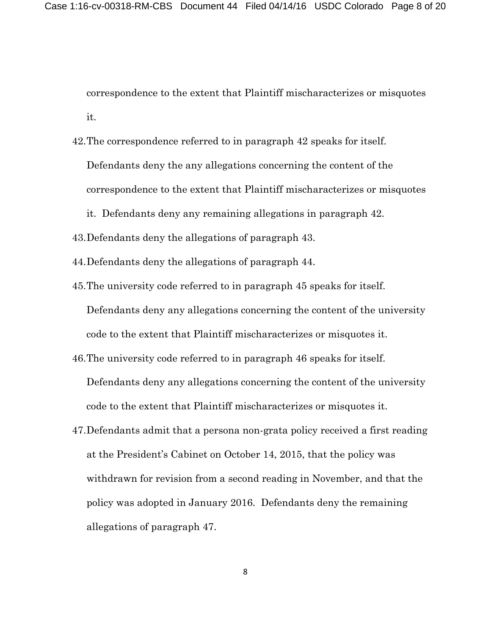correspondence to the extent that Plaintiff mischaracterizes or misquotes it.

42.The correspondence referred to in paragraph 42 speaks for itself. Defendants deny the any allegations concerning the content of the correspondence to the extent that Plaintiff mischaracterizes or misquotes

it. Defendants deny any remaining allegations in paragraph 42.

- 43.Defendants deny the allegations of paragraph 43.
- 44.Defendants deny the allegations of paragraph 44.
- 45.The university code referred to in paragraph 45 speaks for itself. Defendants deny any allegations concerning the content of the university code to the extent that Plaintiff mischaracterizes or misquotes it.
- 46.The university code referred to in paragraph 46 speaks for itself. Defendants deny any allegations concerning the content of the university code to the extent that Plaintiff mischaracterizes or misquotes it.
- 47.Defendants admit that a persona non-grata policy received a first reading at the President's Cabinet on October 14, 2015, that the policy was withdrawn for revision from a second reading in November, and that the policy was adopted in January 2016. Defendants deny the remaining allegations of paragraph 47.

8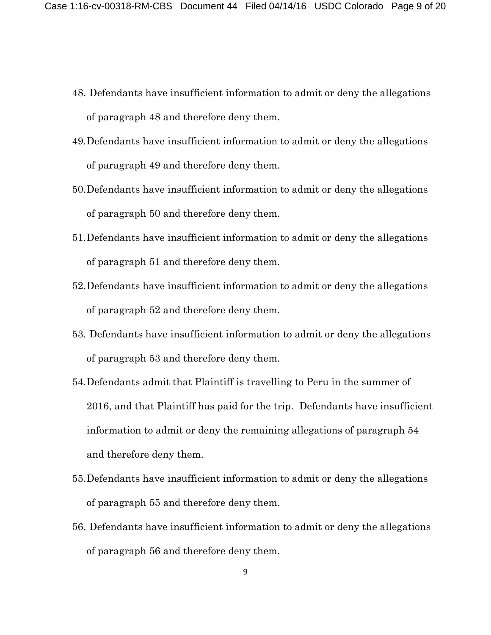- 48. Defendants have insufficient information to admit or deny the allegations of paragraph 48 and therefore deny them.
- 49.Defendants have insufficient information to admit or deny the allegations of paragraph 49 and therefore deny them.
- 50.Defendants have insufficient information to admit or deny the allegations of paragraph 50 and therefore deny them.
- 51.Defendants have insufficient information to admit or deny the allegations of paragraph 51 and therefore deny them.
- 52.Defendants have insufficient information to admit or deny the allegations of paragraph 52 and therefore deny them.
- 53. Defendants have insufficient information to admit or deny the allegations of paragraph 53 and therefore deny them.
- 54.Defendants admit that Plaintiff is travelling to Peru in the summer of 2016, and that Plaintiff has paid for the trip. Defendants have insufficient information to admit or deny the remaining allegations of paragraph 54 and therefore deny them.
- 55.Defendants have insufficient information to admit or deny the allegations of paragraph 55 and therefore deny them.
- 56. Defendants have insufficient information to admit or deny the allegations of paragraph 56 and therefore deny them.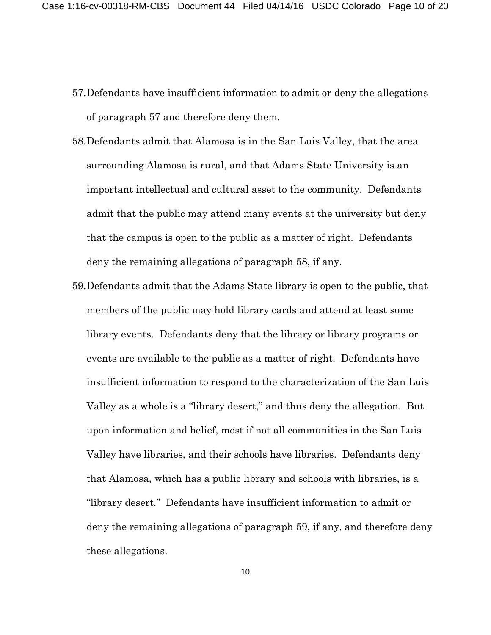- 57.Defendants have insufficient information to admit or deny the allegations of paragraph 57 and therefore deny them.
- 58.Defendants admit that Alamosa is in the San Luis Valley, that the area surrounding Alamosa is rural, and that Adams State University is an important intellectual and cultural asset to the community. Defendants admit that the public may attend many events at the university but deny that the campus is open to the public as a matter of right. Defendants deny the remaining allegations of paragraph 58, if any.
- 59.Defendants admit that the Adams State library is open to the public, that members of the public may hold library cards and attend at least some library events. Defendants deny that the library or library programs or events are available to the public as a matter of right. Defendants have insufficient information to respond to the characterization of the San Luis Valley as a whole is a "library desert," and thus deny the allegation. But upon information and belief, most if not all communities in the San Luis Valley have libraries, and their schools have libraries. Defendants deny that Alamosa, which has a public library and schools with libraries, is a "library desert." Defendants have insufficient information to admit or deny the remaining allegations of paragraph 59, if any, and therefore deny these allegations.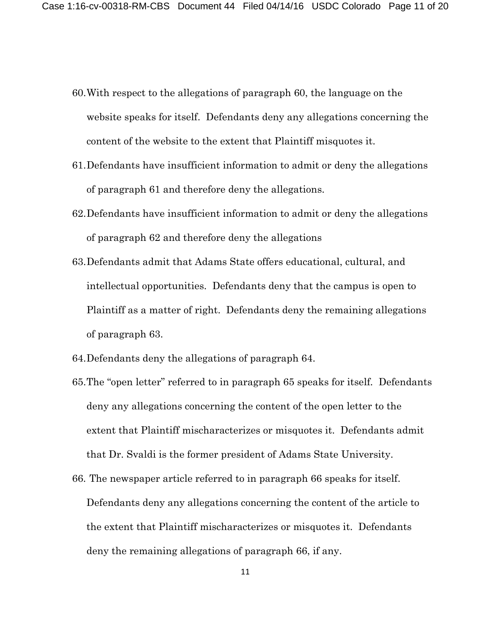- 60.With respect to the allegations of paragraph 60, the language on the website speaks for itself. Defendants deny any allegations concerning the content of the website to the extent that Plaintiff misquotes it.
- 61.Defendants have insufficient information to admit or deny the allegations of paragraph 61 and therefore deny the allegations.
- 62.Defendants have insufficient information to admit or deny the allegations of paragraph 62 and therefore deny the allegations
- 63.Defendants admit that Adams State offers educational, cultural, and intellectual opportunities. Defendants deny that the campus is open to Plaintiff as a matter of right. Defendants deny the remaining allegations of paragraph 63.
- 64.Defendants deny the allegations of paragraph 64.
- 65.The "open letter" referred to in paragraph 65 speaks for itself. Defendants deny any allegations concerning the content of the open letter to the extent that Plaintiff mischaracterizes or misquotes it. Defendants admit that Dr. Svaldi is the former president of Adams State University.
- 66. The newspaper article referred to in paragraph 66 speaks for itself. Defendants deny any allegations concerning the content of the article to the extent that Plaintiff mischaracterizes or misquotes it. Defendants deny the remaining allegations of paragraph 66, if any.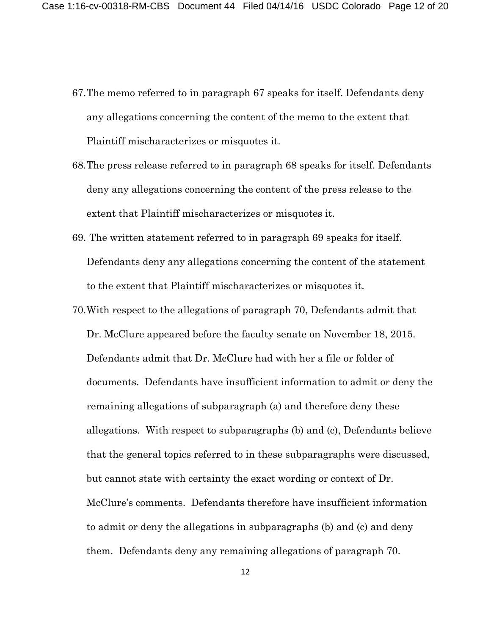- 67.The memo referred to in paragraph 67 speaks for itself. Defendants deny any allegations concerning the content of the memo to the extent that Plaintiff mischaracterizes or misquotes it.
- 68.The press release referred to in paragraph 68 speaks for itself. Defendants deny any allegations concerning the content of the press release to the extent that Plaintiff mischaracterizes or misquotes it.
- 69. The written statement referred to in paragraph 69 speaks for itself. Defendants deny any allegations concerning the content of the statement to the extent that Plaintiff mischaracterizes or misquotes it.
- 70.With respect to the allegations of paragraph 70, Defendants admit that Dr. McClure appeared before the faculty senate on November 18, 2015. Defendants admit that Dr. McClure had with her a file or folder of documents. Defendants have insufficient information to admit or deny the remaining allegations of subparagraph (a) and therefore deny these allegations. With respect to subparagraphs (b) and (c), Defendants believe that the general topics referred to in these subparagraphs were discussed, but cannot state with certainty the exact wording or context of Dr. McClure's comments. Defendants therefore have insufficient information to admit or deny the allegations in subparagraphs (b) and (c) and deny them. Defendants deny any remaining allegations of paragraph 70.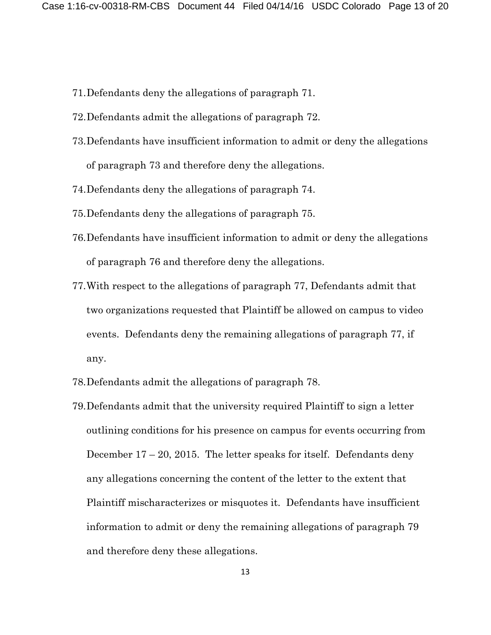- 71.Defendants deny the allegations of paragraph 71.
- 72.Defendants admit the allegations of paragraph 72.
- 73.Defendants have insufficient information to admit or deny the allegations of paragraph 73 and therefore deny the allegations.
- 74.Defendants deny the allegations of paragraph 74.
- 75.Defendants deny the allegations of paragraph 75.
- 76.Defendants have insufficient information to admit or deny the allegations of paragraph 76 and therefore deny the allegations.
- 77.With respect to the allegations of paragraph 77, Defendants admit that two organizations requested that Plaintiff be allowed on campus to video events. Defendants deny the remaining allegations of paragraph 77, if any.
- 78.Defendants admit the allegations of paragraph 78.
- 79.Defendants admit that the university required Plaintiff to sign a letter outlining conditions for his presence on campus for events occurring from December  $17 - 20$ , 2015. The letter speaks for itself. Defendants deny any allegations concerning the content of the letter to the extent that Plaintiff mischaracterizes or misquotes it. Defendants have insufficient information to admit or deny the remaining allegations of paragraph 79 and therefore deny these allegations.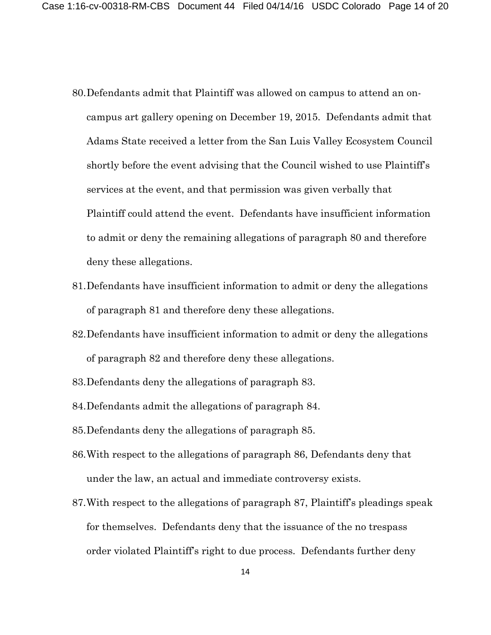- 80.Defendants admit that Plaintiff was allowed on campus to attend an oncampus art gallery opening on December 19, 2015. Defendants admit that Adams State received a letter from the San Luis Valley Ecosystem Council shortly before the event advising that the Council wished to use Plaintiff's services at the event, and that permission was given verbally that Plaintiff could attend the event. Defendants have insufficient information to admit or deny the remaining allegations of paragraph 80 and therefore deny these allegations.
- 81.Defendants have insufficient information to admit or deny the allegations of paragraph 81 and therefore deny these allegations.
- 82.Defendants have insufficient information to admit or deny the allegations of paragraph 82 and therefore deny these allegations.
- 83.Defendants deny the allegations of paragraph 83.
- 84.Defendants admit the allegations of paragraph 84.
- 85.Defendants deny the allegations of paragraph 85.
- 86.With respect to the allegations of paragraph 86, Defendants deny that under the law, an actual and immediate controversy exists.
- 87.With respect to the allegations of paragraph 87, Plaintiff's pleadings speak for themselves. Defendants deny that the issuance of the no trespass order violated Plaintiff's right to due process. Defendants further deny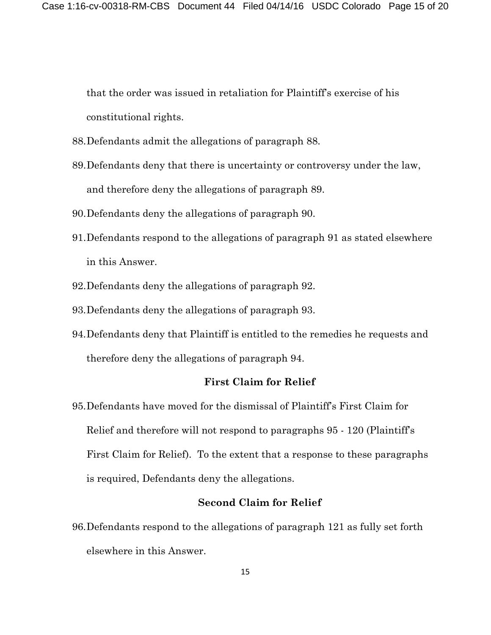that the order was issued in retaliation for Plaintiff's exercise of his constitutional rights.

- 88.Defendants admit the allegations of paragraph 88.
- 89.Defendants deny that there is uncertainty or controversy under the law, and therefore deny the allegations of paragraph 89.
- 90.Defendants deny the allegations of paragraph 90.
- 91.Defendants respond to the allegations of paragraph 91 as stated elsewhere in this Answer.
- 92.Defendants deny the allegations of paragraph 92.
- 93.Defendants deny the allegations of paragraph 93.
- 94.Defendants deny that Plaintiff is entitled to the remedies he requests and therefore deny the allegations of paragraph 94.

### **First Claim for Relief**

95.Defendants have moved for the dismissal of Plaintiff's First Claim for Relief and therefore will not respond to paragraphs 95 - 120 (Plaintiff's First Claim for Relief). To the extent that a response to these paragraphs is required, Defendants deny the allegations.

### **Second Claim for Relief**

96.Defendants respond to the allegations of paragraph 121 as fully set forth elsewhere in this Answer.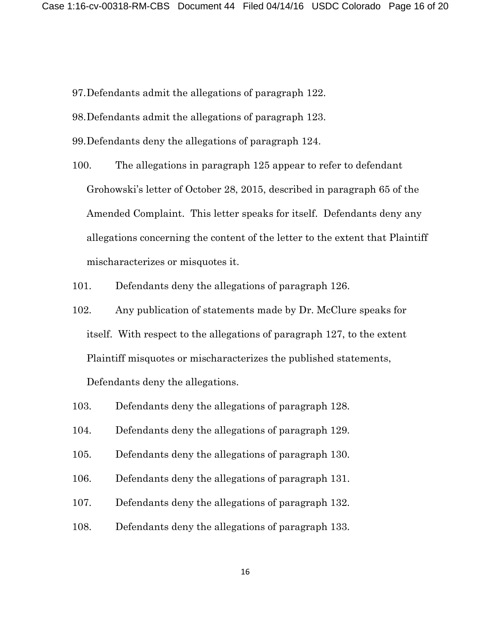- 97.Defendants admit the allegations of paragraph 122.
- 98.Defendants admit the allegations of paragraph 123.
- 99.Defendants deny the allegations of paragraph 124.
- 100. The allegations in paragraph 125 appear to refer to defendant Grohowski's letter of October 28, 2015, described in paragraph 65 of the Amended Complaint. This letter speaks for itself. Defendants deny any allegations concerning the content of the letter to the extent that Plaintiff mischaracterizes or misquotes it.
- 101. Defendants deny the allegations of paragraph 126.
- 102. Any publication of statements made by Dr. McClure speaks for itself. With respect to the allegations of paragraph 127, to the extent Plaintiff misquotes or mischaracterizes the published statements,

Defendants deny the allegations.

- 103. Defendants deny the allegations of paragraph 128.
- 104. Defendants deny the allegations of paragraph 129.
- 105. Defendants deny the allegations of paragraph 130.
- 106. Defendants deny the allegations of paragraph 131.
- 107. Defendants deny the allegations of paragraph 132.
- 108. Defendants deny the allegations of paragraph 133.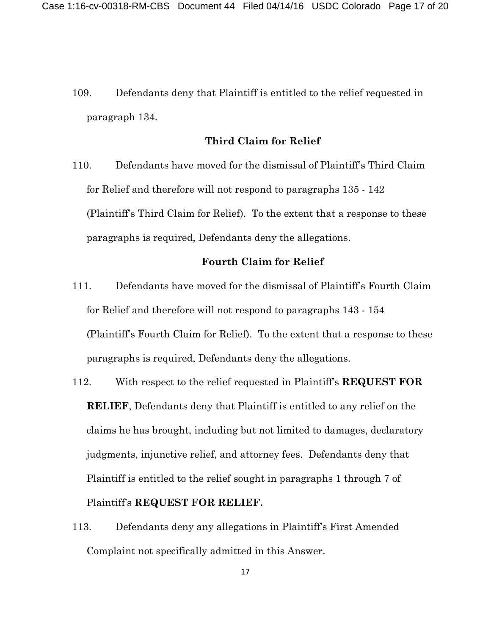109. Defendants deny that Plaintiff is entitled to the relief requested in paragraph 134.

### **Third Claim for Relief**

110. Defendants have moved for the dismissal of Plaintiff's Third Claim for Relief and therefore will not respond to paragraphs 135 - 142 (Plaintiff's Third Claim for Relief). To the extent that a response to these paragraphs is required, Defendants deny the allegations.

### **Fourth Claim for Relief**

- 111. Defendants have moved for the dismissal of Plaintiff's Fourth Claim for Relief and therefore will not respond to paragraphs 143 - 154 (Plaintiff's Fourth Claim for Relief). To the extent that a response to these paragraphs is required, Defendants deny the allegations.
- 112. With respect to the relief requested in Plaintiff's **REQUEST FOR RELIEF**, Defendants deny that Plaintiff is entitled to any relief on the claims he has brought, including but not limited to damages, declaratory judgments, injunctive relief, and attorney fees. Defendants deny that Plaintiff is entitled to the relief sought in paragraphs 1 through 7 of Plaintiff's **REQUEST FOR RELIEF.**
- 113. Defendants deny any allegations in Plaintiff's First Amended Complaint not specifically admitted in this Answer.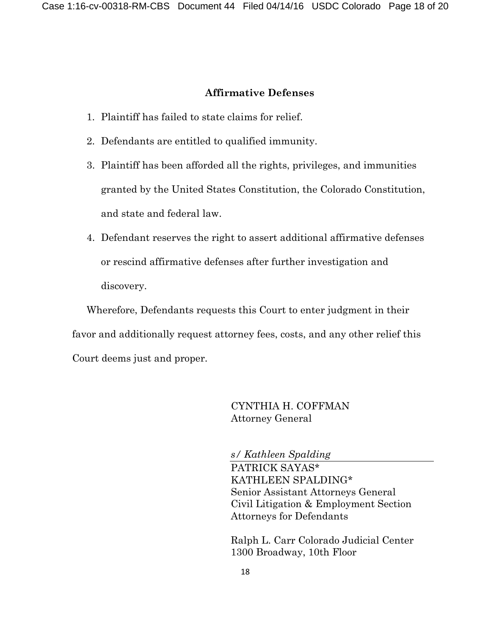### **Affirmative Defenses**

- 1. Plaintiff has failed to state claims for relief.
- 2. Defendants are entitled to qualified immunity.
- 3. Plaintiff has been afforded all the rights, privileges, and immunities granted by the United States Constitution, the Colorado Constitution, and state and federal law.
- 4. Defendant reserves the right to assert additional affirmative defenses or rescind affirmative defenses after further investigation and discovery.

Wherefore, Defendants requests this Court to enter judgment in their favor and additionally request attorney fees, costs, and any other relief this Court deems just and proper.

> CYNTHIA H. COFFMAN Attorney General

*s/ Kathleen Spalding*

PATRICK SAYAS\* KATHLEEN SPALDING\* Senior Assistant Attorneys General Civil Litigation & Employment Section Attorneys for Defendants

Ralph L. Carr Colorado Judicial Center 1300 Broadway, 10th Floor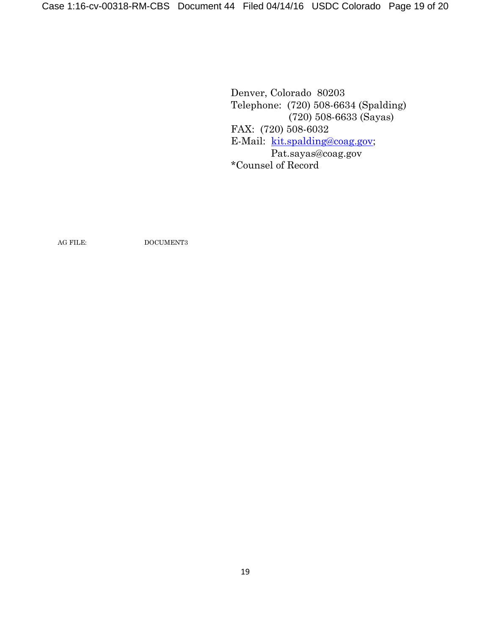Denver, Colorado 80203 Telephone: (720) 508-6634 (Spalding) (720) 508-6633 (Sayas) FAX: (720) 508-6032 E-Mail: [kit.spalding@coag.gov;](mailto:kit.spalding@coag.gov) Pat.sayas@coag.gov \*Counsel of Record

AG FILE: DOCUMENT3